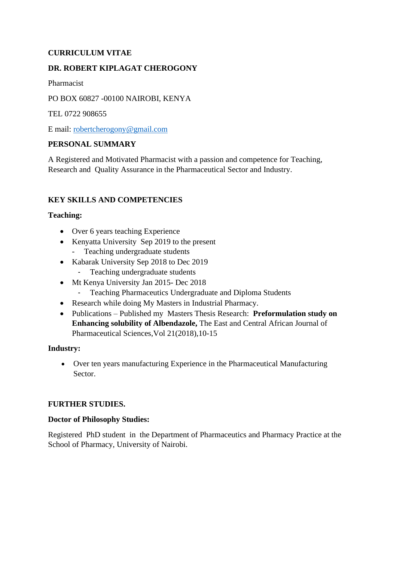# **CURRICULUM VITAE**

## **DR. ROBERT KIPLAGAT CHEROGONY**

Pharmacist

PO BOX 60827 -00100 NAIROBI, KENYA

TEL 0722 908655

E mail: [robertcherogony@gmail.com](mailto:robertcherogony@gmail.com)

### **PERSONAL SUMMARY**

A Registered and Motivated Pharmacist with a passion and competence for Teaching, Research and Quality Assurance in the Pharmaceutical Sector and Industry.

## **KEY SKILLS AND COMPETENCIES**

### **Teaching:**

- Over 6 years teaching Experience
- Kenyatta University Sep 2019 to the present
	- Teaching undergraduate students
- Kabarak University Sep 2018 to Dec 2019
	- Teaching undergraduate students
- Mt Kenya University Jan 2015- Dec 2018
	- Teaching Pharmaceutics Undergraduate and Diploma Students
- Research while doing My Masters in Industrial Pharmacy.
- Publications Published my Masters Thesis Research: **Preformulation study on Enhancing solubility of Albendazole,** The East and Central African Journal of Pharmaceutical Sciences,Vol 21(2018),10-15

### **Industry:**

• Over ten years manufacturing Experience in the Pharmaceutical Manufacturing Sector.

### **FURTHER STUDIES.**

#### **Doctor of Philosophy Studies:**

Registered PhD student in the Department of Pharmaceutics and Pharmacy Practice at the School of Pharmacy, University of Nairobi.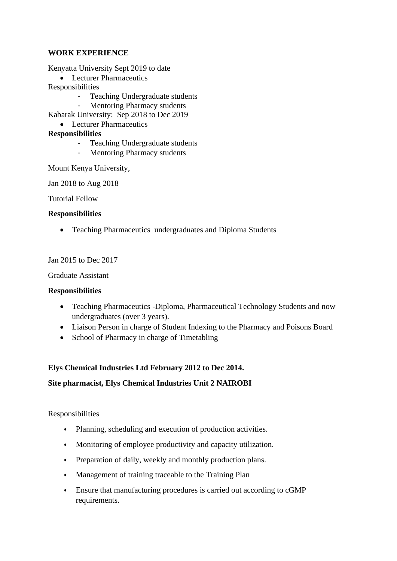### **WORK EXPERIENCE**

Kenyatta University Sept 2019 to date

• Lecturer Pharmaceutics

Responsibilities

- Teaching Undergraduate students
- Mentoring Pharmacy students
- Kabarak University: Sep 2018 to Dec 2019
- Lecturer Pharmaceutics

# **Responsibilities**

- Teaching Undergraduate students
- Mentoring Pharmacy students

Mount Kenya University,

Jan 2018 to Aug 2018

Tutorial Fellow

### **Responsibilities**

• Teaching Pharmaceutics undergraduates and Diploma Students

Jan 2015 to Dec 2017

Graduate Assistant

### **Responsibilities**

- Teaching Pharmaceutics -Diploma, Pharmaceutical Technology Students and now undergraduates (over 3 years).
- Liaison Person in charge of Student Indexing to the Pharmacy and Poisons Board
- School of Pharmacy in charge of Timetabling

# **Elys Chemical Industries Ltd February 2012 to Dec 2014.**

# **Site pharmacist, Elys Chemical Industries Unit 2 NAIROBI**

Responsibilities

- **•** Planning, scheduling and execution of production activities.
- **•** Monitoring of employee productivity and capacity utilization.
- **•** Preparation of daily, weekly and monthly production plans.
- **•** Management of training traceable to the Training Plan
- **•** Ensure that manufacturing procedures is carried out according to cGMP requirements.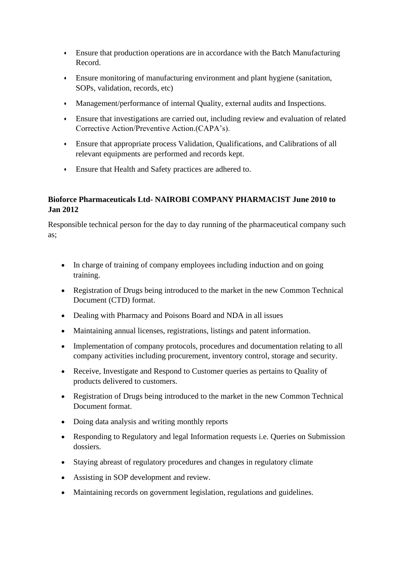- **•** Ensure that production operations are in accordance with the Batch Manufacturing Record.
- **•** Ensure monitoring of manufacturing environment and plant hygiene (sanitation, SOPs, validation, records, etc)
- **•** Management/performance of internal Quality, external audits and Inspections.
- **•** Ensure that investigations are carried out, including review and evaluation of related Corrective Action/Preventive Action.(CAPA's).
- **•** Ensure that appropriate process Validation, Qualifications, and Calibrations of all relevant equipments are performed and records kept.
- **•** Ensure that Health and Safety practices are adhered to.

# **Bioforce Pharmaceuticals Ltd- NAIROBI COMPANY PHARMACIST June 2010 to Jan 2012**

Responsible technical person for the day to day running of the pharmaceutical company such as;

- In charge of training of company employees including induction and on going training.
- Registration of Drugs being introduced to the market in the new Common Technical Document (CTD) format.
- Dealing with Pharmacy and Poisons Board and NDA in all issues
- Maintaining annual licenses, registrations, listings and patent information.
- Implementation of company protocols, procedures and documentation relating to all company activities including procurement, inventory control, storage and security.
- Receive, Investigate and Respond to Customer queries as pertains to Quality of products delivered to customers.
- Registration of Drugs being introduced to the market in the new Common Technical Document format.
- Doing data analysis and writing monthly reports
- Responding to Regulatory and legal Information requests i.e. Queries on Submission dossiers.
- Staying abreast of regulatory procedures and changes in regulatory climate
- Assisting in SOP development and review.
- Maintaining records on government legislation, regulations and guidelines.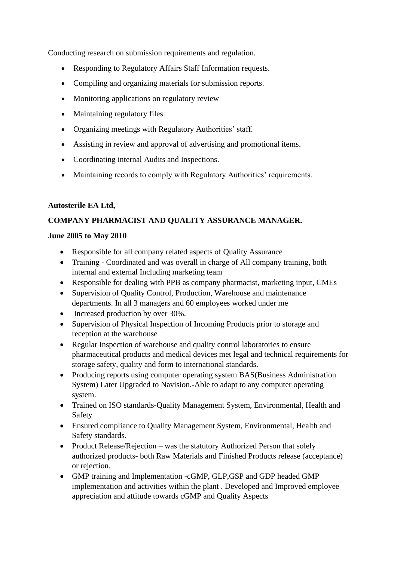Conducting research on submission requirements and regulation.

- Responding to Regulatory Affairs Staff Information requests.
- Compiling and organizing materials for submission reports.
- Monitoring applications on regulatory review
- Maintaining regulatory files.
- Organizing meetings with Regulatory Authorities' staff.
- Assisting in review and approval of advertising and promotional items.
- Coordinating internal Audits and Inspections.
- Maintaining records to comply with Regulatory Authorities' requirements.

### **Autosterile EA Ltd,**

## **COMPANY PHARMACIST AND QUALITY ASSURANCE MANAGER.**

### **June 2005 to May 2010**

- Responsible for all company related aspects of Quality Assurance
- Training Coordinated and was overall in charge of All company training, both internal and external Including marketing team
- Responsible for dealing with PPB as company pharmacist, marketing input, CMEs
- Supervision of Quality Control, Production, Warehouse and maintenance departments. In all 3 managers and 60 employees worked under me
- Increased production by over 30%.
- Supervision of Physical Inspection of Incoming Products prior to storage and reception at the warehouse
- Regular Inspection of warehouse and quality control laboratories to ensure pharmaceutical products and medical devices met legal and technical requirements for storage safety, quality and form to international standards.
- Producing reports using computer operating system BAS(Business Administration System) Later Upgraded to Navision.-Able to adapt to any computer operating system.
- Trained on ISO standards-Ouality Management System, Environmental, Health and Safety
- Ensured compliance to Quality Management System, Environmental, Health and Safety standards.
- Product Release/Rejection was the statutory Authorized Person that solely authorized products- both Raw Materials and Finished Products release (acceptance) or rejection.
- GMP training and Implementation -cGMP, GLP,GSP and GDP headed GMP implementation and activities within the plant . Developed and Improved employee appreciation and attitude towards cGMP and Quality Aspects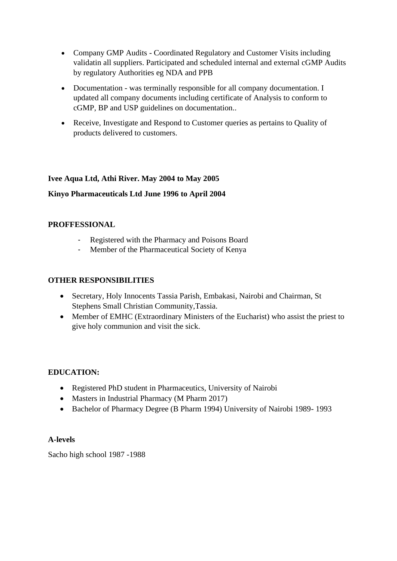- Company GMP Audits Coordinated Regulatory and Customer Visits including validatin all suppliers. Participated and scheduled internal and external cGMP Audits by regulatory Authorities eg NDA and PPB
- Documentation was terminally responsible for all company documentation. I updated all company documents including certificate of Analysis to conform to cGMP, BP and USP guidelines on documentation..
- Receive, Investigate and Respond to Customer queries as pertains to Quality of products delivered to customers.

### **Ivee Aqua Ltd, Athi River. May 2004 to May 2005**

## **Kinyo Pharmaceuticals Ltd June 1996 to April 2004**

### **PROFFESSIONAL**

- Registered with the Pharmacy and Poisons Board
- Member of the Pharmaceutical Society of Kenya

### **OTHER RESPONSIBILITIES**

- Secretary, Holy Innocents Tassia Parish, Embakasi, Nairobi and Chairman, St Stephens Small Christian Community,Tassia.
- Member of EMHC (Extraordinary Ministers of the Eucharist) who assist the priest to give holy communion and visit the sick.

### **EDUCATION:**

- Registered PhD student in Pharmaceutics, University of Nairobi
- Masters in Industrial Pharmacy (M Pharm 2017)
- Bachelor of Pharmacy Degree (B Pharm 1994) University of Nairobi 1989- 1993

#### **A-levels**

Sacho high school 1987 -1988